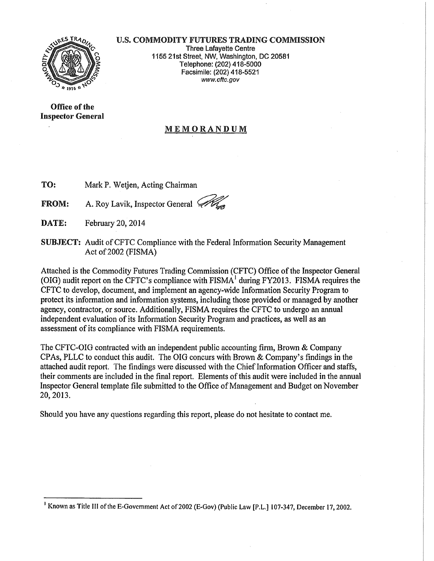

## U.S. COMMODITY FUTURES TRADING COMMISSION

Three Lafayette Centre 1155 21st Street, NW, Washington, DC 20581 Telephone: (202) 418-5000 Facsimile: (202) 418-5521 www.cftc.gov

Office of the Inspector General

## MEMORANDUM

TO: Mark P. Wetjen, Acting Chairman

**FROM:** A. Roy Lavik, Inspector General  $\mathscr{B}$ 

DATE: February 20, 2014

SUBJECT: Audit of CFTC Compliance with the Federal Information Security Management Act of 2002 (FISMA)

Attached is the Commodity Futures Trading Commission (CFTC) Office of the Inspector General (OIG) audit report on the CFTC's compliance with  $FISMA<sup>1</sup>$  during FY2013. FISMA requires the CFTC to develop, document, and implement an agency-wide Information Security Program to protect its information and information systems, including those provided or managed by another agency, contractor, or source. Additionally, FISMA requires the CFTC to undergo an annual independent evaluation of its Information Security Program and practices, as well as an assessment of its compliance with FISMA requirements.

The CFTC-OIG contracted with an independent public accounting firm, Brown & Company CPAs, PLLC to conduct this audit. The OIG concurs with Brown & Company's findings in the attached audit report. The findings were discussed with the Chief Information Officer and staffs, their comments are included in the final report. Elements of this audit were included in the annual Inspector General template file submitted to the Office of Management and Budget on November 20,2013.

Should you have any questions regarding this report, please do not hesitate to contact me.

<sup>1</sup>Known as Title Ill of the E-Govemment Act of2002 (E-Gov) (Public Law [P.L.] 107-347, December 17,2002.